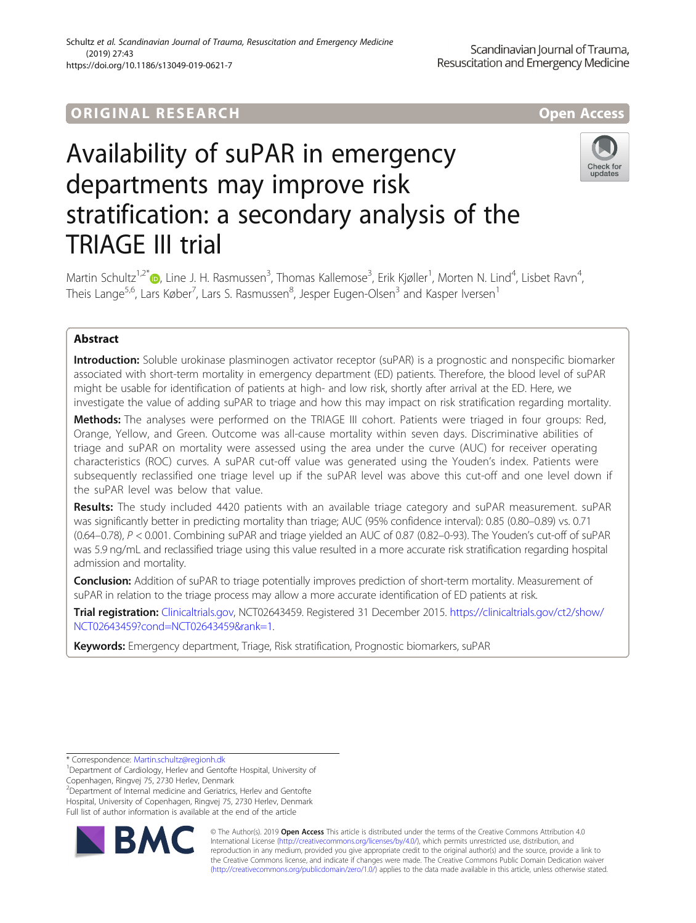## ORIGINA L R E S EA RCH Open Access

# Availability of suPAR in emergency departments may improve risk stratification: a secondary analysis of the TRIAGE III trial



Martin Schultz<sup>1,2[\\*](http://orcid.org/0000-0002-1259-645X)</sup>®, Line J. H. Rasmussen<sup>3</sup>, Thomas Kallemose<sup>3</sup>, Erik Kjøller<sup>1</sup>, Morten N. Lind<sup>4</sup>, Lisbet Ravn<sup>4</sup> , Theis Lange<sup>5,6</sup>, Lars Køber<sup>7</sup>, Lars S. Rasmussen<sup>8</sup>, Jesper Eugen-Olsen<sup>3</sup> and Kasper Iversen<sup>1</sup>

### Abstract

Introduction: Soluble urokinase plasminogen activator receptor (suPAR) is a prognostic and nonspecific biomarker associated with short-term mortality in emergency department (ED) patients. Therefore, the blood level of suPAR might be usable for identification of patients at high- and low risk, shortly after arrival at the ED. Here, we investigate the value of adding suPAR to triage and how this may impact on risk stratification regarding mortality.

Methods: The analyses were performed on the TRIAGE III cohort. Patients were triaged in four groups: Red, Orange, Yellow, and Green. Outcome was all-cause mortality within seven days. Discriminative abilities of triage and suPAR on mortality were assessed using the area under the curve (AUC) for receiver operating characteristics (ROC) curves. A suPAR cut-off value was generated using the Youden's index. Patients were subsequently reclassified one triage level up if the suPAR level was above this cut-off and one level down if the suPAR level was below that value.

Results: The study included 4420 patients with an available triage category and suPAR measurement. suPAR was significantly better in predicting mortality than triage; AUC (95% confidence interval): 0.85 (0.80–0.89) vs. 0.71 (0.64–0.78), P < 0.001. Combining suPAR and triage yielded an AUC of 0.87 (0.82–0-93). The Youden's cut-off of suPAR was 5.9 ng/mL and reclassified triage using this value resulted in a more accurate risk stratification regarding hospital admission and mortality.

Conclusion: Addition of suPAR to triage potentially improves prediction of short-term mortality. Measurement of suPAR in relation to the triage process may allow a more accurate identification of ED patients at risk.

Trial registration: [Clinicaltrials.gov,](http://clinicaltrials.gov) NCT02643459. Registered 31 December 2015. [https://clinicaltrials.gov/ct2/show/](https://clinicaltrials.gov/ct2/show/NCT02643459?cond=NCT02643459&rank=1) [NCT02643459?cond=NCT02643459&rank=1](https://clinicaltrials.gov/ct2/show/NCT02643459?cond=NCT02643459&rank=1).

Keywords: Emergency department, Triage, Risk stratification, Prognostic biomarkers, suPAR

<sup>2</sup>Department of Internal medicine and Geriatrics, Herlev and Gentofte Hospital, University of Copenhagen, Ringvej 75, 2730 Herlev, Denmark Full list of author information is available at the end of the article



© The Author(s). 2019 **Open Access** This article is distributed under the terms of the Creative Commons Attribution 4.0 International License [\(http://creativecommons.org/licenses/by/4.0/](http://creativecommons.org/licenses/by/4.0/)), which permits unrestricted use, distribution, and reproduction in any medium, provided you give appropriate credit to the original author(s) and the source, provide a link to the Creative Commons license, and indicate if changes were made. The Creative Commons Public Domain Dedication waiver [\(http://creativecommons.org/publicdomain/zero/1.0/](http://creativecommons.org/publicdomain/zero/1.0/)) applies to the data made available in this article, unless otherwise stated.

<sup>\*</sup> Correspondence: [Martin.schultz@regionh.dk](mailto:Martin.schultz@regionh.dk) <sup>1</sup>

<sup>&</sup>lt;sup>1</sup>Department of Cardiology, Herlev and Gentofte Hospital, University of Copenhagen, Ringvej 75, 2730 Herlev, Denmark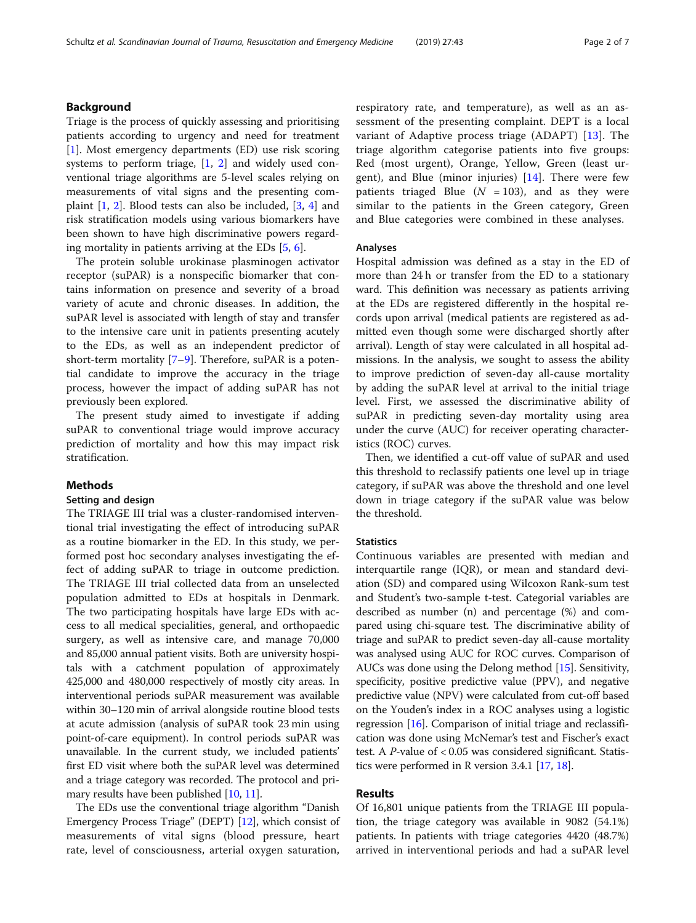#### Background

Triage is the process of quickly assessing and prioritising patients according to urgency and need for treatment [[1\]](#page-5-0). Most emergency departments (ED) use risk scoring systems to perform triage, [\[1](#page-5-0), [2\]](#page-5-0) and widely used conventional triage algorithms are 5-level scales relying on measurements of vital signs and the presenting complaint [[1,](#page-5-0) [2\]](#page-5-0). Blood tests can also be included, [[3](#page-5-0), [4\]](#page-5-0) and risk stratification models using various biomarkers have been shown to have high discriminative powers regarding mortality in patients arriving at the EDs [[5,](#page-5-0) [6\]](#page-5-0).

The protein soluble urokinase plasminogen activator receptor (suPAR) is a nonspecific biomarker that contains information on presence and severity of a broad variety of acute and chronic diseases. In addition, the suPAR level is associated with length of stay and transfer to the intensive care unit in patients presenting acutely to the EDs, as well as an independent predictor of short-term mortality [\[7](#page-5-0)–[9\]](#page-5-0). Therefore, suPAR is a potential candidate to improve the accuracy in the triage process, however the impact of adding suPAR has not previously been explored.

The present study aimed to investigate if adding suPAR to conventional triage would improve accuracy prediction of mortality and how this may impact risk stratification.

#### Methods

#### Setting and design

The TRIAGE III trial was a cluster-randomised interventional trial investigating the effect of introducing suPAR as a routine biomarker in the ED. In this study, we performed post hoc secondary analyses investigating the effect of adding suPAR to triage in outcome prediction. The TRIAGE III trial collected data from an unselected population admitted to EDs at hospitals in Denmark. The two participating hospitals have large EDs with access to all medical specialities, general, and orthopaedic surgery, as well as intensive care, and manage 70,000 and 85,000 annual patient visits. Both are university hospitals with a catchment population of approximately 425,000 and 480,000 respectively of mostly city areas. In interventional periods suPAR measurement was available within 30–120 min of arrival alongside routine blood tests at acute admission (analysis of suPAR took 23 min using point-of-care equipment). In control periods suPAR was unavailable. In the current study, we included patients' first ED visit where both the suPAR level was determined and a triage category was recorded. The protocol and primary results have been published [\[10,](#page-5-0) [11](#page-6-0)].

The EDs use the conventional triage algorithm "Danish Emergency Process Triage" (DEPT) [[12](#page-6-0)], which consist of measurements of vital signs (blood pressure, heart rate, level of consciousness, arterial oxygen saturation, respiratory rate, and temperature), as well as an assessment of the presenting complaint. DEPT is a local variant of Adaptive process triage (ADAPT) [\[13](#page-6-0)]. The triage algorithm categorise patients into five groups: Red (most urgent), Orange, Yellow, Green (least urgent), and Blue (minor injuries)  $[14]$  $[14]$ . There were few patients triaged Blue ( $N = 103$ ), and as they were similar to the patients in the Green category, Green and Blue categories were combined in these analyses.

#### Analyses

Hospital admission was defined as a stay in the ED of more than 24 h or transfer from the ED to a stationary ward. This definition was necessary as patients arriving at the EDs are registered differently in the hospital records upon arrival (medical patients are registered as admitted even though some were discharged shortly after arrival). Length of stay were calculated in all hospital admissions. In the analysis, we sought to assess the ability to improve prediction of seven-day all-cause mortality by adding the suPAR level at arrival to the initial triage level. First, we assessed the discriminative ability of suPAR in predicting seven-day mortality using area under the curve (AUC) for receiver operating characteristics (ROC) curves.

Then, we identified a cut-off value of suPAR and used this threshold to reclassify patients one level up in triage category, if suPAR was above the threshold and one level down in triage category if the suPAR value was below the threshold.

#### **Statistics**

Continuous variables are presented with median and interquartile range (IQR), or mean and standard deviation (SD) and compared using Wilcoxon Rank-sum test and Student's two-sample t-test. Categorial variables are described as number (n) and percentage (%) and compared using chi-square test. The discriminative ability of triage and suPAR to predict seven-day all-cause mortality was analysed using AUC for ROC curves. Comparison of AUCs was done using the Delong method [\[15](#page-6-0)]. Sensitivity, specificity, positive predictive value (PPV), and negative predictive value (NPV) were calculated from cut-off based on the Youden's index in a ROC analyses using a logistic regression [\[16](#page-6-0)]. Comparison of initial triage and reclassification was done using McNemar's test and Fischer's exact test. A P-value of < 0.05 was considered significant. Statistics were performed in R version 3.4.1 [[17](#page-6-0), [18\]](#page-6-0).

#### Results

Of 16,801 unique patients from the TRIAGE III population, the triage category was available in 9082 (54.1%) patients. In patients with triage categories 4420 (48.7%) arrived in interventional periods and had a suPAR level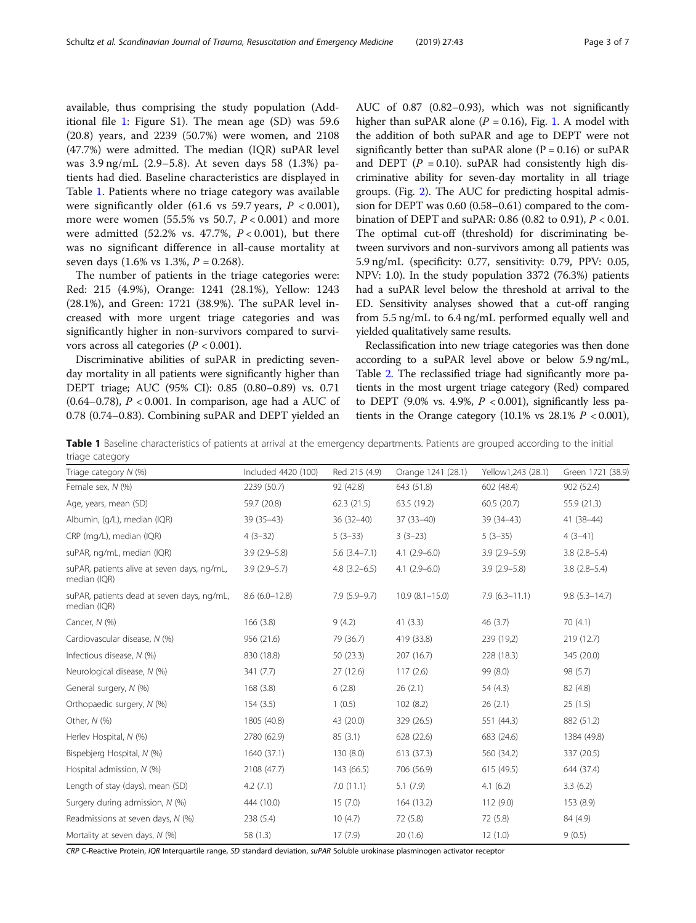available, thus comprising the study population (Additional file [1:](#page-5-0) Figure S1). The mean age (SD) was 59.6 (20.8) years, and 2239 (50.7%) were women, and 2108 (47.7%) were admitted. The median (IQR) suPAR level was 3.9 ng/mL (2.9–5.8). At seven days 58 (1.3%) patients had died. Baseline characteristics are displayed in Table 1. Patients where no triage category was available were significantly older (61.6 vs 59.7 years,  $P < 0.001$ ), more were women  $(55.5\% \text{ vs } 50.7, P < 0.001)$  and more were admitted (52.2% vs. 47.7%,  $P < 0.001$ ), but there was no significant difference in all-cause mortality at seven days (1.6% vs 1.3%,  $P = 0.268$ ).

The number of patients in the triage categories were: Red: 215 (4.9%), Orange: 1241 (28.1%), Yellow: 1243 (28.1%), and Green: 1721 (38.9%). The suPAR level increased with more urgent triage categories and was significantly higher in non-survivors compared to survivors across all categories ( $P < 0.001$ ).

Discriminative abilities of suPAR in predicting sevenday mortality in all patients were significantly higher than DEPT triage; AUC (95% CI): 0.85 (0.80–0.89) vs. 0.71 (0.64–0.78),  $P < 0.001$ . In comparison, age had a AUC of 0.78 (0.74–0.83). Combining suPAR and DEPT yielded an AUC of 0.87 (0.82–0.93), which was not significantly higher than suPAR alone ( $P = 0.16$ ), Fig. [1.](#page-3-0) A model with the addition of both suPAR and age to DEPT were not significantly better than suPAR alone  $(P = 0.16)$  or suPAR and DEPT ( $P = 0.10$ ). suPAR had consistently high discriminative ability for seven-day mortality in all triage groups. (Fig. [2\)](#page-4-0). The AUC for predicting hospital admission for DEPT was 0.60 (0.58–0.61) compared to the combination of DEPT and suPAR: 0.86 (0.82 to 0.91),  $P < 0.01$ . The optimal cut-off (threshold) for discriminating between survivors and non-survivors among all patients was 5.9 ng/mL (specificity: 0.77, sensitivity: 0.79, PPV: 0.05, NPV: 1.0). In the study population 3372 (76.3%) patients had a suPAR level below the threshold at arrival to the ED. Sensitivity analyses showed that a cut-off ranging from 5.5 ng/mL to 6.4 ng/mL performed equally well and yielded qualitatively same results.

Reclassification into new triage categories was then done according to a suPAR level above or below 5.9 ng/mL, Table [2.](#page-4-0) The reclassified triage had significantly more patients in the most urgent triage category (Red) compared to DEPT (9.0% vs. 4.9%,  $P < 0.001$ ), significantly less patients in the Orange category (10.1% vs  $28.1\%$   $P < 0.001$ ),

Table 1 Baseline characteristics of patients at arrival at the emergency departments. Patients are grouped according to the initial triage category

| Triage category $N$ (%)                                     | Included 4420 (100) | Red 215 (4.9)    | Orange 1241 (28.1) | Yellow1,243 (28.1) | Green 1721 (38.9) |
|-------------------------------------------------------------|---------------------|------------------|--------------------|--------------------|-------------------|
| Female sex, N (%)                                           | 2239 (50.7)         | 92 (42.8)        | 643 (51.8)         | 602 (48.4)         | 902 (52.4)        |
| Age, years, mean (SD)                                       | 59.7 (20.8)         | 62.3(21.5)       | 63.5 (19.2)        | 60.5(20.7)         | 55.9 (21.3)       |
| Albumin, (g/L), median (IQR)                                | $39(35-43)$         | $36(32-40)$      | $37(33-40)$        | $39(34-43)$        | $41(38-44)$       |
| CRP (mg/L), median (IQR)                                    | $4(3-32)$           | $5(3-33)$        | $3(3-23)$          | $5(3-35)$          | $4(3-41)$         |
| suPAR, ng/mL, median (IQR)                                  | $3.9(2.9-5.8)$      | $5.6(3.4 - 7.1)$ | $4.1(2.9-6.0)$     | $3.9(2.9-5.9)$     | $3.8(2.8-5.4)$    |
| suPAR, patients alive at seven days, ng/mL,<br>median (IQR) | $3.9(2.9-5.7)$      | $4.8(3.2-6.5)$   | $4.1(2.9-6.0)$     | $3.9(2.9 - 5.8)$   | $3.8(2.8-5.4)$    |
| suPAR, patients dead at seven days, ng/mL,<br>median (IQR)  | $8.6(6.0-12.8)$     | $7.9(5.9-9.7)$   | $10.9(8.1 - 15.0)$ | $7.9(6.3 - 11.1)$  | $9.8(5.3 - 14.7)$ |
| Cancer, N (%)                                               | 166(3.8)            | 9(4.2)           | 41(3.3)            | 46(3.7)            | 70(4.1)           |
| Cardiovascular disease, N (%)                               | 956 (21.6)          | 79 (36.7)        | 419 (33.8)         | 239 (19,2)         | 219(12.7)         |
| Infectious disease, N (%)                                   | 830 (18.8)          | 50(23.3)         | 207 (16.7)         | 228 (18.3)         | 345 (20.0)        |
| Neurological disease, N (%)                                 | 341(7.7)            | 27(12.6)         | 117(2.6)           | 99 (8.0)           | 98 (5.7)          |
| General surgery, N (%)                                      | 168(3.8)            | 6(2.8)           | 26(2.1)            | 54 (4.3)           | 82 (4.8)          |
| Orthopaedic surgery, N (%)                                  | 154(3.5)            | 1(0.5)           | 102(8.2)           | 26(2.1)            | 25(1.5)           |
| Other, N (%)                                                | 1805 (40.8)         | 43 (20.0)        | 329 (26.5)         | 551 (44.3)         | 882 (51.2)        |
| Herlev Hospital, N (%)                                      | 2780 (62.9)         | 85(3.1)          | 628 (22.6)         | 683 (24.6)         | 1384 (49.8)       |
| Bispebjerg Hospital, N (%)                                  | 1640 (37.1)         | 130(8.0)         | 613 (37.3)         | 560 (34.2)         | 337 (20.5)        |
| Hospital admission, N (%)                                   | 2108 (47.7)         | 143 (66.5)       | 706 (56.9)         | 615(49.5)          | 644 (37.4)        |
| Length of stay (days), mean (SD)                            | 4.2(7.1)            | 7.0(11.1)        | 5.1(7.9)           | 4.1(6.2)           | 3.3(6.2)          |
| Surgery during admission, N (%)                             | 444 (10.0)          | 15(7.0)          | 164 (13.2)         | 112 (9.0)          | 153 (8.9)         |
| Readmissions at seven days, N (%)                           | 238 (5.4)           | 10(4.7)          | 72 (5.8)           | 72 (5.8)           | 84 (4.9)          |
| Mortality at seven days, N (%)                              | 58 (1.3)            | 17(7.9)          | 20(1.6)            | 12(1.0)            | 9(0.5)            |

CRP C-Reactive Protein, IQR Interquartile range, SD standard deviation, suPAR Soluble urokinase plasminogen activator receptor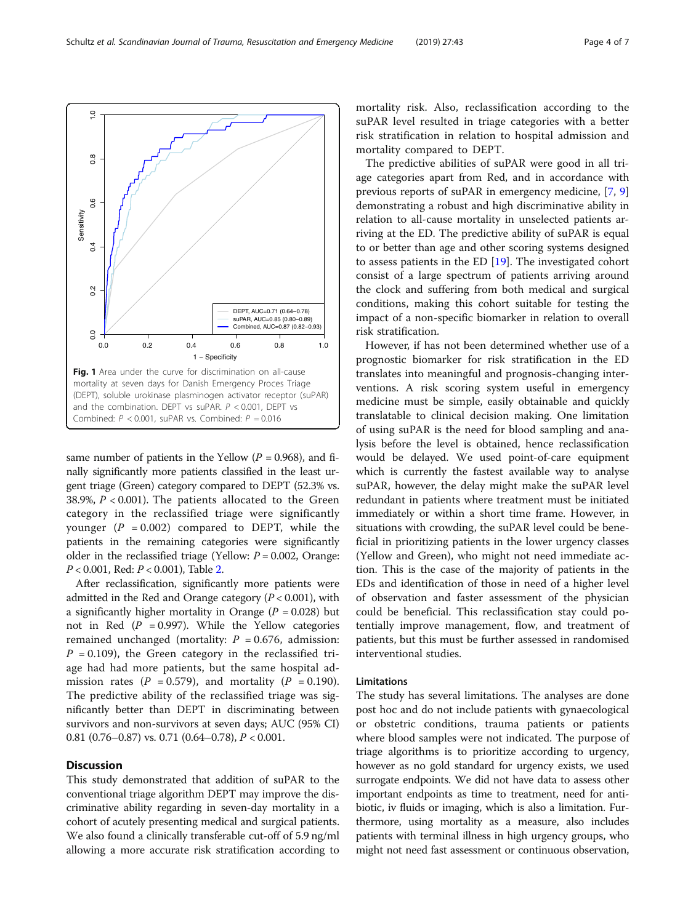same number of patients in the Yellow  $(P = 0.968)$ , and finally significantly more patients classified in the least urgent triage (Green) category compared to DEPT (52.3% vs. 38.9%,  $P < 0.001$ ). The patients allocated to the Green category in the reclassified triage were significantly younger  $(P = 0.002)$  compared to DEPT, while the patients in the remaining categories were significantly older in the reclassified triage (Yellow:  $P = 0.002$ , Orange: P < 0.001, Red: P < 0.001), Table [2.](#page-4-0)

After reclassification, significantly more patients were admitted in the Red and Orange category  $(P < 0.001)$ , with a significantly higher mortality in Orange ( $P = 0.028$ ) but not in Red  $(P = 0.997)$ . While the Yellow categories remained unchanged (mortality:  $P = 0.676$ , admission:  $P = 0.109$ ), the Green category in the reclassified triage had had more patients, but the same hospital admission rates ( $P = 0.579$ ), and mortality ( $P = 0.190$ ). The predictive ability of the reclassified triage was significantly better than DEPT in discriminating between survivors and non-survivors at seven days; AUC (95% CI) 0.81 (0.76–0.87) vs. 0.71 (0.64–0.78),  $P < 0.001$ .

#### **Discussion**

This study demonstrated that addition of suPAR to the conventional triage algorithm DEPT may improve the discriminative ability regarding in seven-day mortality in a cohort of acutely presenting medical and surgical patients. We also found a clinically transferable cut-off of 5.9 ng/ml allowing a more accurate risk stratification according to mortality risk. Also, reclassification according to the suPAR level resulted in triage categories with a better risk stratification in relation to hospital admission and mortality compared to DEPT.

The predictive abilities of suPAR were good in all triage categories apart from Red, and in accordance with previous reports of suPAR in emergency medicine, [\[7](#page-5-0), [9](#page-5-0)] demonstrating a robust and high discriminative ability in relation to all-cause mortality in unselected patients arriving at the ED. The predictive ability of suPAR is equal to or better than age and other scoring systems designed to assess patients in the ED [\[19](#page-6-0)]. The investigated cohort consist of a large spectrum of patients arriving around the clock and suffering from both medical and surgical conditions, making this cohort suitable for testing the impact of a non-specific biomarker in relation to overall risk stratification.

However, if has not been determined whether use of a prognostic biomarker for risk stratification in the ED translates into meaningful and prognosis-changing interventions. A risk scoring system useful in emergency medicine must be simple, easily obtainable and quickly translatable to clinical decision making. One limitation of using suPAR is the need for blood sampling and analysis before the level is obtained, hence reclassification would be delayed. We used point-of-care equipment which is currently the fastest available way to analyse suPAR, however, the delay might make the suPAR level redundant in patients where treatment must be initiated immediately or within a short time frame. However, in situations with crowding, the suPAR level could be beneficial in prioritizing patients in the lower urgency classes (Yellow and Green), who might not need immediate action. This is the case of the majority of patients in the EDs and identification of those in need of a higher level of observation and faster assessment of the physician could be beneficial. This reclassification stay could potentially improve management, flow, and treatment of patients, but this must be further assessed in randomised interventional studies.

#### Limitations

The study has several limitations. The analyses are done post hoc and do not include patients with gynaecological or obstetric conditions, trauma patients or patients where blood samples were not indicated. The purpose of triage algorithms is to prioritize according to urgency, however as no gold standard for urgency exists, we used surrogate endpoints. We did not have data to assess other important endpoints as time to treatment, need for antibiotic, iv fluids or imaging, which is also a limitation. Furthermore, using mortality as a measure, also includes patients with terminal illness in high urgency groups, who might not need fast assessment or continuous observation,

<span id="page-3-0"></span>

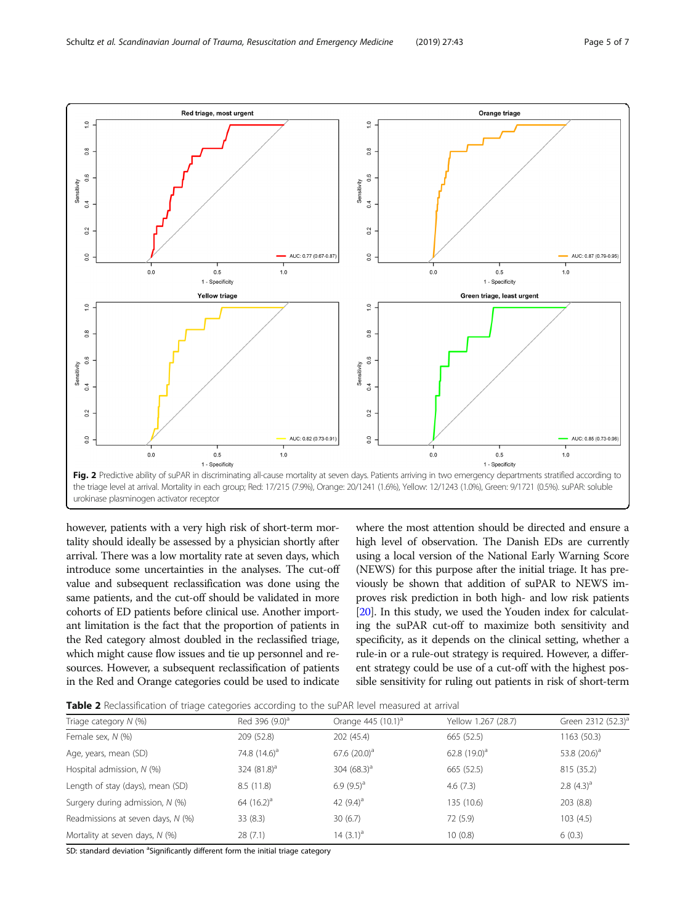<span id="page-4-0"></span>

however, patients with a very high risk of short-term mortality should ideally be assessed by a physician shortly after arrival. There was a low mortality rate at seven days, which introduce some uncertainties in the analyses. The cut-off value and subsequent reclassification was done using the same patients, and the cut-off should be validated in more cohorts of ED patients before clinical use. Another important limitation is the fact that the proportion of patients in the Red category almost doubled in the reclassified triage, which might cause flow issues and tie up personnel and resources. However, a subsequent reclassification of patients in the Red and Orange categories could be used to indicate

where the most attention should be directed and ensure a high level of observation. The Danish EDs are currently using a local version of the National Early Warning Score (NEWS) for this purpose after the initial triage. It has previously be shown that addition of suPAR to NEWS improves risk prediction in both high- and low risk patients [[20](#page-6-0)]. In this study, we used the Youden index for calculating the suPAR cut-off to maximize both sensitivity and specificity, as it depends on the clinical setting, whether a rule-in or a rule-out strategy is required. However, a different strategy could be use of a cut-off with the highest possible sensitivity for ruling out patients in risk of short-term

Table 2 Reclassification of triage categories according to the suPAR level measured at arrival

| Triage category $N$ (%)           | Red 396 (9.0) <sup>a</sup> | Orange $445$ (10.1) <sup>a</sup> | Yellow 1.267 (28.7) | Green 2312 (52.3) <sup>a</sup> |
|-----------------------------------|----------------------------|----------------------------------|---------------------|--------------------------------|
| Female sex, N (%)                 | 209 (52.8)                 | 202 (45.4)                       | 665 (52.5)          | 1163 (50.3)                    |
| Age, years, mean (SD)             | 74.8 $(14.6)^a$            | 67.6 $(20.0)^a$                  | 62.8 $(19.0)^a$     | 53.8 $(20.6)^a$                |
| Hospital admission, N (%)         | 324 $(81.8)^a$             | 304 $(68.3)^a$                   | 665 (52.5)          | 815 (35.2)                     |
| Length of stay (days), mean (SD)  | 8.5(11.8)                  | 6.9 $(9.5)^a$                    | 4.6(7.3)            | 2.8 $(4.3)^a$                  |
| Surgery during admission, N (%)   | 64 $(16.2)^a$              | 42 $(9.4)^a$                     | 135 (10.6)          | 203 (8.8)                      |
| Readmissions at seven days, N (%) | 33(8.3)                    | 30(6.7)                          | 72 (5.9)            | 103(4.5)                       |
| Mortality at seven days, N (%)    | 28(7.1)                    | 14 $(3.1)^a$                     | 10(0.8)             | 6(0.3)                         |

SD: standard deviation <sup>a</sup>Significantly different form the initial triage category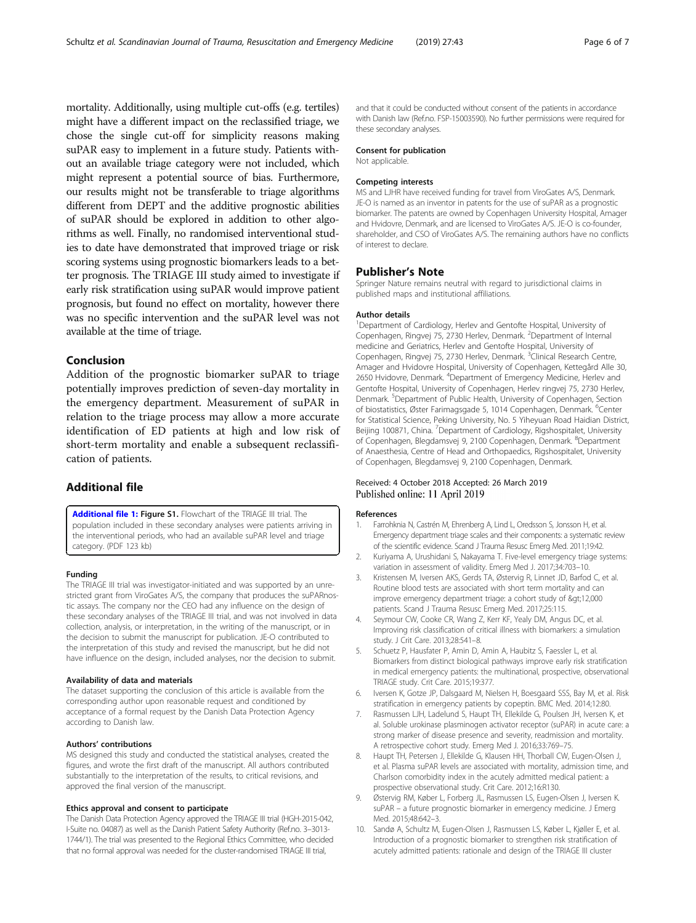<span id="page-5-0"></span>mortality. Additionally, using multiple cut-offs (e.g. tertiles) might have a different impact on the reclassified triage, we chose the single cut-off for simplicity reasons making suPAR easy to implement in a future study. Patients without an available triage category were not included, which might represent a potential source of bias. Furthermore, our results might not be transferable to triage algorithms different from DEPT and the additive prognostic abilities of suPAR should be explored in addition to other algorithms as well. Finally, no randomised interventional studies to date have demonstrated that improved triage or risk scoring systems using prognostic biomarkers leads to a better prognosis. The TRIAGE III study aimed to investigate if early risk stratification using suPAR would improve patient prognosis, but found no effect on mortality, however there was no specific intervention and the suPAR level was not available at the time of triage.

#### Conclusion

Addition of the prognostic biomarker suPAR to triage potentially improves prediction of seven-day mortality in the emergency department. Measurement of suPAR in relation to the triage process may allow a more accurate identification of ED patients at high and low risk of short-term mortality and enable a subsequent reclassification of patients.

#### Additional file

[Additional file 1:](https://doi.org/10.1186/s13049-019-0621-7) Figure S1. Flowchart of the TRIAGE III trial. The population included in these secondary analyses were patients arriving in the interventional periods, who had an available suPAR level and triage category. (PDF 123 kb)

#### Funding

The TRIAGE III trial was investigator-initiated and was supported by an unrestricted grant from ViroGates A/S, the company that produces the suPARnostic assays. The company nor the CEO had any influence on the design of these secondary analyses of the TRIAGE III trial, and was not involved in data collection, analysis, or interpretation, in the writing of the manuscript, or in the decision to submit the manuscript for publication. JE-O contributed to the interpretation of this study and revised the manuscript, but he did not have influence on the design, included analyses, nor the decision to submit.

#### Availability of data and materials

The dataset supporting the conclusion of this article is available from the corresponding author upon reasonable request and conditioned by acceptance of a formal request by the Danish Data Protection Agency according to Danish law.

#### Authors' contributions

MS designed this study and conducted the statistical analyses, created the figures, and wrote the first draft of the manuscript. All authors contributed substantially to the interpretation of the results, to critical revisions, and approved the final version of the manuscript.

#### Ethics approval and consent to participate

The Danish Data Protection Agency approved the TRIAGE III trial (HGH-2015-042, I-Suite no. 04087) as well as the Danish Patient Safety Authority (Ref.no. 3–3013- 1744/1). The trial was presented to the Regional Ethics Committee, who decided that no formal approval was needed for the cluster-randomised TRIAGE III trial,

and that it could be conducted without consent of the patients in accordance with Danish law (Ref.no. FSP-15003590). No further permissions were required for these secondary analyses.

#### Consent for publication

Not applicable.

#### Competing interests

MS and LJHR have received funding for travel from ViroGates A/S, Denmark. JE-O is named as an inventor in patents for the use of suPAR as a prognostic biomarker. The patents are owned by Copenhagen University Hospital, Amager and Hvidovre, Denmark, and are licensed to ViroGates A/S. JE-O is co-founder, shareholder, and CSO of ViroGates A/S. The remaining authors have no conflicts of interest to declare.

#### Publisher's Note

Springer Nature remains neutral with regard to jurisdictional claims in published maps and institutional affiliations.

#### Author details

<sup>1</sup>Department of Cardiology, Herlev and Gentofte Hospital, University of Copenhagen, Ringvej 75, 2730 Herlev, Denmark. <sup>2</sup>Department of Internal medicine and Geriatrics, Herlev and Gentofte Hospital, University of Copenhagen, Ringvej 75, 2730 Herlev, Denmark. <sup>3</sup>Clinical Research Centre Amager and Hvidovre Hospital, University of Copenhagen, Kettegård Alle 30, 2650 Hvidovre, Denmark. <sup>4</sup> Department of Emergency Medicine, Herlev and Gentofte Hospital, University of Copenhagen, Herlev ringvej 75, 2730 Herlev, Denmark.<sup>5</sup> Department of Public Health, University of Copenhagen, Section of biostatistics, Øster Farimagsgade 5, 1014 Copenhagen, Denmark. <sup>6</sup>Center for Statistical Science, Peking University, No. 5 Yiheyuan Road Haidian District, Beijing 100871, China. <sup>7</sup>Department of Cardiology, Rigshospitalet, University of Copenhagen, Blegdamsvej 9, 2100 Copenhagen, Denmark. <sup>8</sup>Department of Anaesthesia, Centre of Head and Orthopaedics, Rigshospitalet, University of Copenhagen, Blegdamsvej 9, 2100 Copenhagen, Denmark.

#### Received: 4 October 2018 Accepted: 26 March 2019 Published online: 11 April 2019

#### References

- 1. Farrohknia N, Castrén M, Ehrenberg A, Lind L, Oredsson S, Jonsson H, et al. Emergency department triage scales and their components: a systematic review of the scientific evidence. Scand J Trauma Resusc Emerg Med. 2011;19:42.
- 2. Kuriyama A, Urushidani S, Nakayama T. Five-level emergency triage systems: variation in assessment of validity. Emerg Med J. 2017;34:703–10.
- 3. Kristensen M, Iversen AKS, Gerds TA, Østervig R, Linnet JD, Barfod C, et al. Routine blood tests are associated with short term mortality and can improve emergency department triage: a cohort study of >12,000 patients. Scand J Trauma Resusc Emerg Med. 2017;25:115.
- 4. Seymour CW, Cooke CR, Wang Z, Kerr KF, Yealy DM, Angus DC, et al. Improving risk classification of critical illness with biomarkers: a simulation study. J Crit Care. 2013;28:541–8.
- 5. Schuetz P, Hausfater P, Amin D, Amin A, Haubitz S, Faessler L, et al. Biomarkers from distinct biological pathways improve early risk stratification in medical emergency patients: the multinational, prospective, observational TRIAGE study. Crit Care. 2015;19:377.
- Iversen K, Gotze JP, Dalsgaard M, Nielsen H, Boesgaard SSS, Bay M, et al. Risk stratification in emergency patients by copeptin. BMC Med. 2014;12:80.
- 7. Rasmussen LJH, Ladelund S, Haupt TH, Ellekilde G, Poulsen JH, Iversen K, et al. Soluble urokinase plasminogen activator receptor (suPAR) in acute care: a strong marker of disease presence and severity, readmission and mortality. A retrospective cohort study. Emerg Med J. 2016;33:769–75.
- 8. Haupt TH, Petersen J, Ellekilde G, Klausen HH, Thorball CW, Eugen-Olsen J, et al. Plasma suPAR levels are associated with mortality, admission time, and Charlson comorbidity index in the acutely admitted medical patient: a prospective observational study. Crit Care. 2012;16:R130.
- 9. Østervig RM, Køber L, Forberg JL, Rasmussen LS, Eugen-Olsen J, Iversen K. suPAR – a future prognostic biomarker in emergency medicine. J Emerg Med. 2015;48:642–3.
- 10. Sandø A, Schultz M, Eugen-Olsen J, Rasmussen LS, Køber L, Kjøller E, et al. Introduction of a prognostic biomarker to strengthen risk stratification of acutely admitted patients: rationale and design of the TRIAGE III cluster